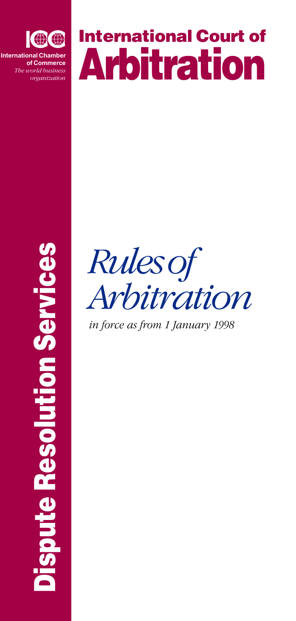

**of Commerce** *The world business organization*

> **Dispute Resolution ServicesPINES FOSSO DIT**

*Rules of Arbitration*

*in force as from 1 January 1998*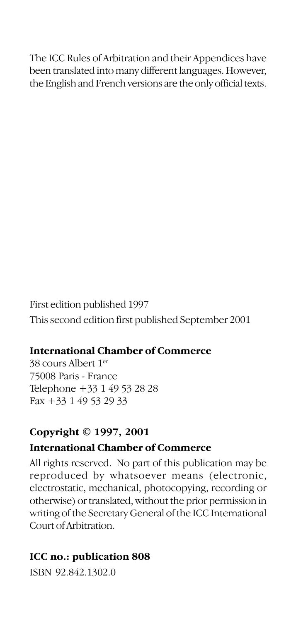The ICC Rules of Arbitration and their Appendices have been translated into many different languages. However, the English and French versions are the only official texts.

First edition published 1997 This second edition first published September 2001

#### **International Chamber of Commerce**

38 cours Albert 1er 75008 Paris - France Telephone +33 1 49 53 28 28 Fax +33 1 49 53 29 33

### **Copyright © 1997, 2001 International Chamber of Commerce**

All rights reserved. No part of this publication may be reproduced by whatsoever means (electronic, electrostatic, mechanical, photocopying, recording or otherwise) or translated, without the prior permission in writing of the Secretary General of the ICC International Court of Arbitration.

#### **ICC no.: publication 808**

ISBN 92.842.1302.0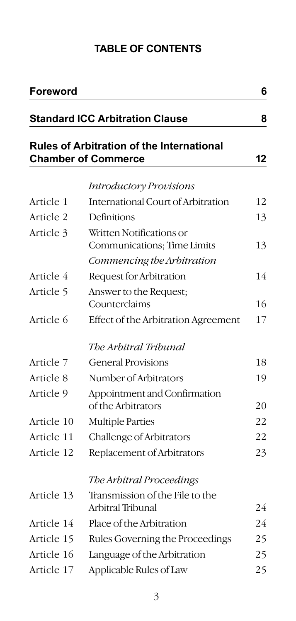# **TABLE OF CONTENTS**

| Foreword   |                                                                                | 6  |
|------------|--------------------------------------------------------------------------------|----|
|            | <b>Standard ICC Arbitration Clause</b>                                         | 8  |
|            | <b>Rules of Arbitration of the International</b><br><b>Chamber of Commerce</b> | 12 |
|            | <i>Introductory Provisions</i>                                                 |    |
| Article 1  | International Court of Arbitration                                             | 12 |
| Article 2  | Definitions                                                                    | 13 |
| Article 3  | Written Notifications or                                                       |    |
|            | Communications; Time Limits                                                    | 13 |
|            | Commencing the Arbitration                                                     |    |
| Article 4  | Request for Arbitration                                                        | 14 |
| Article 5  | Answer to the Request;<br>Counterclaims                                        | 16 |
|            |                                                                                |    |
| Article 6  | Effect of the Arbitration Agreement                                            | 17 |
|            | The Arbitral Tribunal                                                          |    |
| Article 7  | <b>General Provisions</b>                                                      | 18 |
| Article 8  | Number of Arbitrators                                                          | 19 |
| Article 9  | Appointment and Confirmation                                                   |    |
|            | of the Arbitrators                                                             | 20 |
| Article 10 | <b>Multiple Parties</b>                                                        | 22 |
| Article 11 | Challenge of Arbitrators                                                       | 22 |
| Article 12 | Replacement of Arbitrators                                                     | 23 |
|            | The Arbitral Proceedings                                                       |    |
| Article 13 | Transmission of the File to the                                                |    |
|            | Arbitral Tribunal                                                              | 24 |
| Article 14 | Place of the Arbitration                                                       | 24 |
| Article 15 | Rules Governing the Proceedings                                                | 25 |
| Article 16 | Language of the Arbitration                                                    | 25 |
| Article 17 | Applicable Rules of Law                                                        | 25 |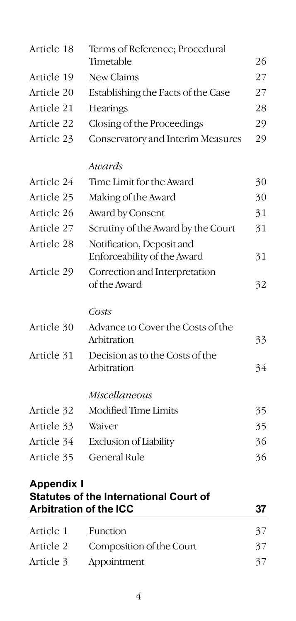| Article 18        | Terms of Reference; Procedural<br>Timetable                                    | 26 |
|-------------------|--------------------------------------------------------------------------------|----|
| Article 19        | New Claims                                                                     | 27 |
| Article 20        | Establishing the Facts of the Case                                             | 27 |
| Article 21        | Hearings                                                                       | 28 |
| Article 22        | Closing of the Proceedings                                                     | 29 |
| Article 23        | Conservatory and Interim Measures                                              | 29 |
|                   | Awards                                                                         |    |
| Article 24        | Time Limit for the Award                                                       | 30 |
| Article 25        | Making of the Award                                                            | 30 |
| Article 26        | Award by Consent                                                               | 31 |
| Article 27        | Scrutiny of the Award by the Court                                             | 31 |
| Article 28        | Notification, Deposit and<br>Enforceability of the Award                       | 31 |
| Article 29        | Correction and Interpretation<br>of the Award                                  | 32 |
|                   | Costs                                                                          |    |
| Article 30        | Advance to Cover the Costs of the<br>Arbitration                               | 33 |
| Article 31        | Decision as to the Costs of the                                                |    |
|                   | Arbitration                                                                    | 34 |
|                   | Miscellaneous                                                                  |    |
| Article 32        | Modified Time Limits                                                           | 35 |
| Article 33        | Waiver                                                                         | 35 |
| Article 34        | Exclusion of Liability                                                         | 36 |
| Article 35        | General Rule                                                                   | 36 |
| <b>Appendix I</b> |                                                                                |    |
|                   | <b>Statutes of the International Court of</b><br><b>Arbitration of the ICC</b> | 37 |
| Article 1         | Function                                                                       | 37 |
| Article 2         | Composition of the Court                                                       | 37 |
| Article 3         | Appointment                                                                    | 37 |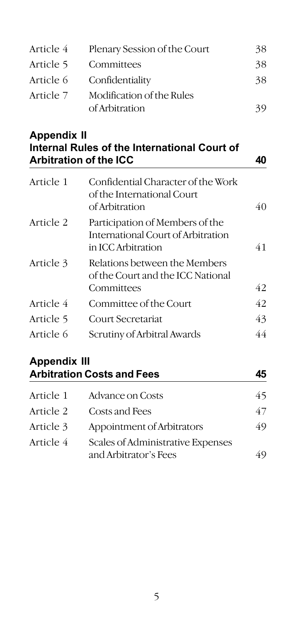| Article 4 | Plenary Session of the Court                | 38 |
|-----------|---------------------------------------------|----|
| Article 5 | Committees                                  | 38 |
|           | Article 6 Confidentiality                   | 38 |
| Article 7 | Modification of the Rules<br>of Arbitration | 39 |

## **Appendix II Internal Rules of the International Court of Arbitration of the ICC 40**

| Article 1 | Confidential Character of the Work<br>of the International Court<br>of Arbitration          | 40 |
|-----------|---------------------------------------------------------------------------------------------|----|
| Article 2 | Participation of Members of the<br>International Court of Arbitration<br>in ICC Arbitration | 41 |
| Article 3 | Relations between the Members<br>of the Court and the ICC National<br>Committees            | 42 |
| Article 4 | Committee of the Court                                                                      | 42 |
| Article 5 | Court Secretariat                                                                           | 43 |
| Article 6 | Scrutiny of Arbitral Awards                                                                 | 44 |

## **Appendix III Arbitration Costs and Fees 45**

| Article 1 | Advance on Costs                  | 45 |
|-----------|-----------------------------------|----|
| Article 2 | Costs and Fees                    | 47 |
| Article 3 | Appointment of Arbitrators        | 49 |
| Article 4 | Scales of Administrative Expenses |    |
|           | and Arbitrator's Fees             |    |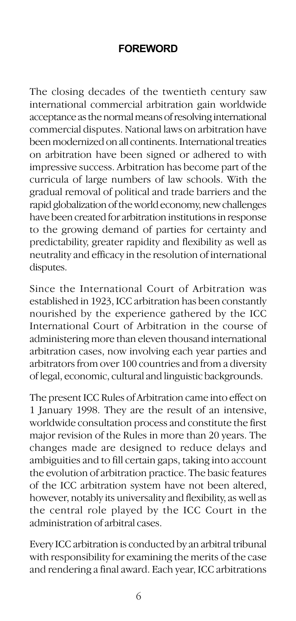## **FOREWORD**

The closing decades of the twentieth century saw international commercial arbitration gain worldwide acceptance as the normal means of resolving international commercial disputes. National laws on arbitration have been modernized on all continents. International treaties on arbitration have been signed or adhered to with impressive success. Arbitration has become part of the curricula of large numbers of law schools. With the gradual removal of political and trade barriers and the rapid globalization of the world economy, new challenges have been created for arbitration institutions in response to the growing demand of parties for certainty and predictability, greater rapidity and flexibility as well as neutrality and efficacy in the resolution of international disputes.

Since the International Court of Arbitration was established in 1923, ICC arbitration has been constantly nourished by the experience gathered by the ICC International Court of Arbitration in the course of administering more than eleven thousand international arbitration cases, now involving each year parties and arbitrators from over 100 countries and from a diversity of legal, economic, cultural and linguistic backgrounds.

The present ICC Rules of Arbitration came into effect on 1 January 1998. They are the result of an intensive, worldwide consultation process and constitute the first major revision of the Rules in more than 20 years. The changes made are designed to reduce delays and ambiguities and to fill certain gaps, taking into account the evolution of arbitration practice. The basic features of the ICC arbitration system have not been altered, however, notably its universality and flexibility, as well as the central role played by the ICC Court in the administration of arbitral cases.

Every ICC arbitration is conducted by an arbitral tribunal with responsibility for examining the merits of the case and rendering a final award. Each year, ICC arbitrations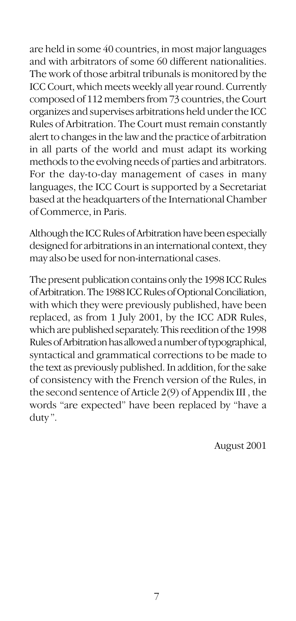are held in some 40 countries, in most major languages and with arbitrators of some 60 different nationalities. The work of those arbitral tribunals is monitored by the ICC Court, which meets weekly all year round. Currently composed of 112 members from 73 countries, the Court organizes and supervises arbitrations held under the ICC Rules of Arbitration. The Court must remain constantly alert to changes in the law and the practice of arbitration in all parts of the world and must adapt its working methods to the evolving needs of parties and arbitrators. For the day-to-day management of cases in many languages, the ICC Court is supported by a Secretariat based at the headquarters of the International Chamber of Commerce, in Paris.

Although the ICC Rules of Arbitration have been especially designed for arbitrations in an international context, they may also be used for non-international cases.

The present publication contains only the 1998 ICC Rules of Arbitration. The 1988 ICC Rules of Optional Conciliation, with which they were previously published, have been replaced, as from 1 July 2001, by the ICC ADR Rules, which are published separately. This reedition of the 1998 Rules of Arbitration has allowed a number of typographical, syntactical and grammatical corrections to be made to the text as previously published. In addition, for the sake of consistency with the French version of the Rules, in the second sentence of Article 2(9) of Appendix III , the words "are expected" have been replaced by "have a duty ".

August 2001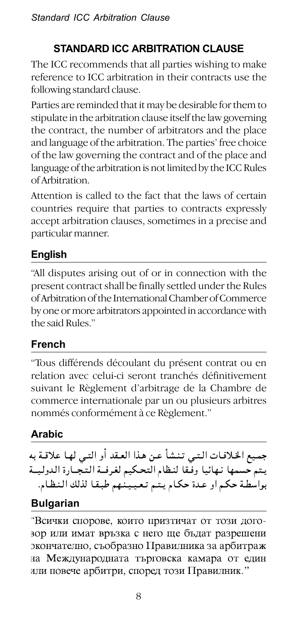# **STANDARD ICC ARBITRATION CLAUSE**

The ICC recommends that all parties wishing to make reference to ICC arbitration in their contracts use the following standard clause.

Parties are reminded that it may be desirable for them to stipulate in the arbitration clause itself the law governing the contract, the number of arbitrators and the place and language of the arbitration. The parties' free choice of the law governing the contract and of the place and language of the arbitration is not limited by the ICC Rules of Arbitration.

Attention is called to the fact that the laws of certain countries require that parties to contracts expressly accept arbitration clauses, sometimes in a precise and particular manner.

## **English**

"All disputes arising out of or in connection with the present contract shall be finally settled under the Rules of Arbitration of the International Chamber of Commerce by one or more arbitrators appointed in accordance with the said Rules."

## **French**

"Tous différends découlant du présent contrat ou en relation avec celui-ci seront tranchés définitivement suivant le Règlement d'arbitrage de la Chambre de commerce internationale par un ou plusieurs arbitres nommés conformément à ce Règlement."

# **Arabic**

جميع الخلافات التبي تنشأ عن هذا العقد أو التبي لها علاقـة به يتم حسمها نهائيا وفقا لنظام التحكيم لغرفية التجبارة الدوليية بواسطة حكم او عدة حكام يتم تعيينهم طبقا لذلك النظام.

# **Bulgarian**

"Всички спорове, които призтичат от този договор или имат връзка с него ще бъдат разрешени экончателно, съобразно Правилника за арбитраж на Международната търговска камара от един или повече арбитри, според този Правилник."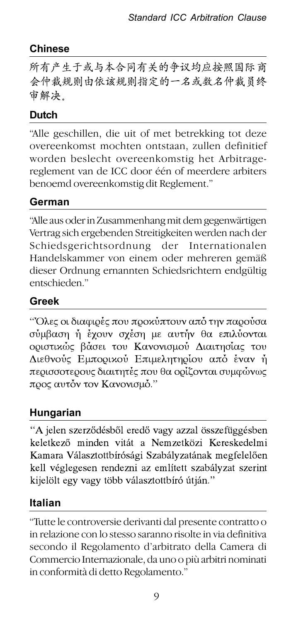# **Chinese**

所有产生于或与本合同有关的争议均应按照国际商 会仲裁规则由依该规则指定的一名或数名仲裁员终 审解决

## **Dutch**

"Alle geschillen, die uit of met betrekking tot deze overeenkomst mochten ontstaan, zullen definitief worden beslecht overeenkomstig het Arbitragereglement van de ICC door één of meerdere arbiters benoemd overeenkomstig dit Reglement."

# **German**

"Alle aus oder in Zusammenhang mit dem gegenwärtigen Vertrag sich ergebenden Streitigkeiten werden nach der Schiedsgerichtsordnung der Internationalen Handelskammer von einem oder mehreren gemäß dieser Ordnung ernannten Schiedsrichtern endgültig entschieden."

## **Greek**

"Όλες οι διαφιρές που προκύπτουν από την παρούσα σύμβαση ή έχουν σχέση με αυτήν θα επιλύονται οριστικώς βάσει του Κανονισμού Διαιτησίας του Διεθνούς Εμπορικού Επιμελητηρίου από έναν ή περισσοτερονς διαιτητές που θα ορίζονται συμφώνως προς αυτόν τον Κανονισμό."

# **Hungarian**

"A jelen szerződésből eredő vagy azzal összefüggésben keletkező minden vitát a Nemzetközi Kereskedelmi Kamara Választottbírósági Szabályzatának megfelelően kell véglegesen rendezni az említett szabályzat szerint kijelölt egy vagy több választottbíró útján."

# **Italian**

"Tutte le controversie derivanti dal presente contratto o in relazione con lo stesso saranno risolte in via definitiva secondo il Regolamento d'arbitrato della Camera di Commercio Internazionale, da uno o più arbitri nominati in conformità di detto Regolamento."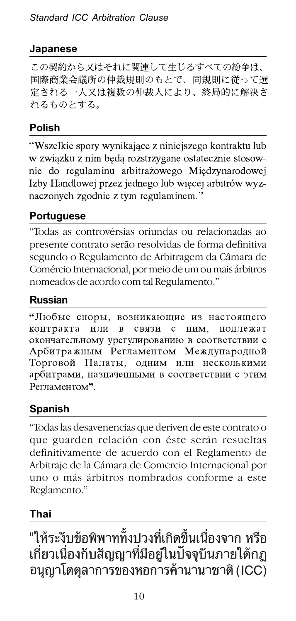## **Japanese**

この契約から又はそれに関連して生じるすべての紛争は、 国際商業会議所の仲裁規則のもとで、同規則に従って選 定される一人又は複数の仲裁人により、終局的に解決さ れるものとする。

## **Polish**

"Wszelkie spory wynikające z niniejszego kontraktu lub w związku z nim będą rozstrzygane ostatecznie stosownie do regulaminu arbitrażowego Międzynarodowej Izby Handlowej przez jednego lub więcej arbitrów wyznaczonych zgodnie z tym regulaminem."

### **Portuguese**

"Todas as controvérsias oriundas ou relacionadas ao presente contrato serão resolvidas de forma definitiva segundo o Regulamento de Arbitragem da Câmara de Comércio Internacional, por meio de um ou mais árbitros nomeados de acordo com tal Regulamento."

### **Russian**

"Любые споры, возникающие из настоящего контракта или  $\overline{B}$ связи  $\mathbf{c}$ ним. поллежат окончательному урегулированию в соответствии с Арбитражным Регламентом Международной Торговой Палаты, одним или несколькими арбитрами, назначенными в соответствии с этим Регламентом".

## **Spanish**

"Todas las desavenencias que deriven de este contrato o que guarden relación con éste serán resueltas definitivamente de acuerdo con el Reglamento de Arbitraje de la Cámara de Comercio Internacional por uno o más árbitros nombrados conforme a este Reglamento."

## **Thai**

"ให้ระงับข้อพิพาททั้งปวงที่เกิดขึ้นเนื่องจาก หรือ เกี่ยวเนื่องกับสัญญาที่มีอยู่ในปัจจุบันภายใต้กฎ อนุญาโตตุลาการของหอการค้านานาชาติ (ICC)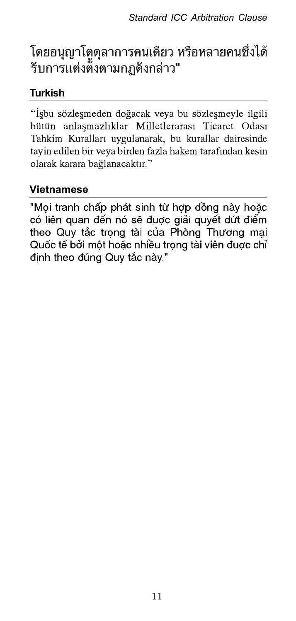โดยอนุญาโตตุลาการคนเดียว หรือหลายคนซึ่งได้ ้รับการแต่งตั้งตามกฎดังกล่าว"

# **Turkish**

"İsbu sözlesmeden doğacak veya bu sözlesmeyle ilgili bütün anlasmazlıklar Milletlerarası Ticaret Odası Tahkim Kuralları uvgulanarak, bu kurallar dairesinde tayin edilen bir veya birden fazla hakem tarafından kesin olarak karara bağlanacaktır."

## **Vietnamese**

"Moi tranh chấp phát sinh từ hợp dồng này hoặc có liên quan đến nó sẽ đuợc giải quyết dứt điểm theo Quy tắc trong tài của Phòng Thương mai Quốc tế bởi một hoặc nhiều trong tài viên đuợc chỉ định theo đúng Quy tắc này"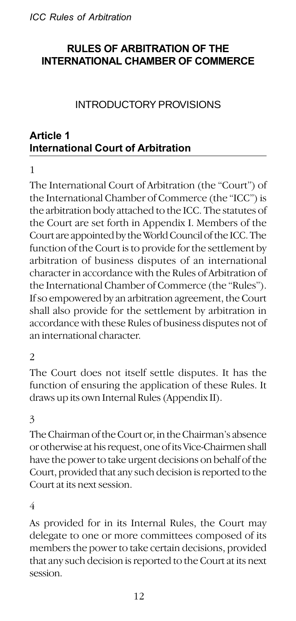## **RULES OF ARBITRATION OF THE INTERNATIONAL CHAMBER OF COMMERCE**

## INTRODUCTORY PROVISIONS

## **Article 1 International Court of Arbitration**

1

The International Court of Arbitration (the "Court") of the International Chamber of Commerce (the "ICC") is the arbitration body attached to the ICC. The statutes of the Court are set forth in Appendix I. Members of the Court are appointed by the World Council of the ICC. The function of the Court is to provide for the settlement by arbitration of business disputes of an international character in accordance with the Rules of Arbitration of the International Chamber of Commerce (the "Rules"). If so empowered by an arbitration agreement, the Court shall also provide for the settlement by arbitration in accordance with these Rules of business disputes not of an international character.

 $\overline{\mathcal{L}}$ 

The Court does not itself settle disputes. It has the function of ensuring the application of these Rules. It draws up its own Internal Rules (Appendix II).

3

The Chairman of the Court or, in the Chairman's absence or otherwise at his request, one of its Vice-Chairmen shall have the power to take urgent decisions on behalf of the Court, provided that any such decision is reported to the Court at its next session.

4

As provided for in its Internal Rules, the Court may delegate to one or more committees composed of its members the power to take certain decisions, provided that any such decision is reported to the Court at its next session.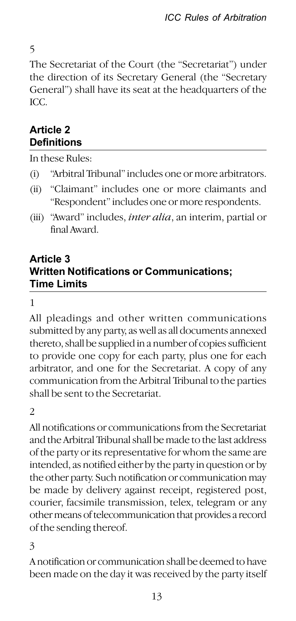The Secretariat of the Court (the "Secretariat") under the direction of its Secretary General (the "Secretary General") shall have its seat at the headquarters of the ICC.

## **Article 2 Definitions**

In these Rules:

- (i) "Arbitral Tribunal" includes one or more arbitrators.
- (ii) "Claimant" includes one or more claimants and "Respondent" includes one or more respondents.
- (iii) "Award" includes, *inter alia*, an interim, partial or final Award.

# **Article 3 Written Notifications or Communications; Time Limits**

1

All pleadings and other written communications submitted by any party, as well as all documents annexed thereto, shall be supplied in a number of copies sufficient to provide one copy for each party, plus one for each arbitrator, and one for the Secretariat. A copy of any communication from the Arbitral Tribunal to the parties shall be sent to the Secretariat.

 $\mathcal{P}$ 

All notifications or communications from the Secretariat and the Arbitral Tribunal shall be made to the last address of the party or its representative for whom the same are intended, as notified either by the party in question or by the other party. Such notification or communication may be made by delivery against receipt, registered post, courier, facsimile transmission, telex, telegram or any other means of telecommunication that provides a record of the sending thereof.

3

A notification or communication shall be deemed to have been made on the day it was received by the party itself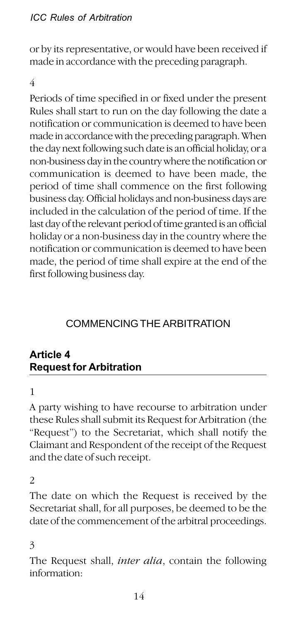#### *ICC Rules of Arbitration*

or by its representative, or would have been received if made in accordance with the preceding paragraph.

4

Periods of time specified in or fixed under the present Rules shall start to run on the day following the date a notification or communication is deemed to have been made in accordance with the preceding paragraph. When the day next following such date is an official holiday, or a non-business day in the country where the notification or communication is deemed to have been made, the period of time shall commence on the first following business day. Official holidays and non-business days are included in the calculation of the period of time. If the last day of the relevant period of time granted is an official holiday or a non-business day in the country where the notification or communication is deemed to have been made, the period of time shall expire at the end of the first following business day.

# COMMENCING THE ARBITRATION

## **Article 4 Request for Arbitration**

#### 1

A party wishing to have recourse to arbitration under these Rules shall submit its Request for Arbitration (the "Request") to the Secretariat, which shall notify the Claimant and Respondent of the receipt of the Request and the date of such receipt.

#### $\overline{2}$

The date on which the Request is received by the Secretariat shall, for all purposes, be deemed to be the date of the commencement of the arbitral proceedings.

#### 3

The Request shall, *inter alia*, contain the following information: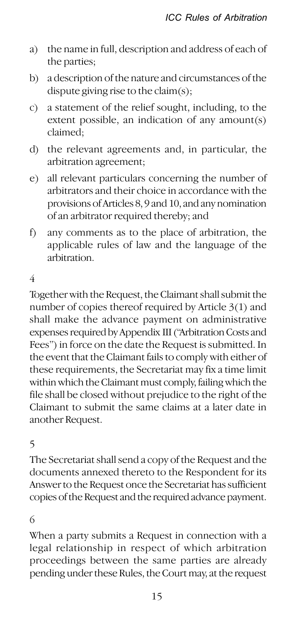- a) the name in full, description and address of each of the parties;
- b) a description of the nature and circumstances of the dispute giving rise to the claim(s);
- c) a statement of the relief sought, including, to the extent possible, an indication of any amount(s) claimed;
- d) the relevant agreements and, in particular, the arbitration agreement;
- e) all relevant particulars concerning the number of arbitrators and their choice in accordance with the provisions of Articles 8, 9 and 10, and any nomination of an arbitrator required thereby; and
- f) any comments as to the place of arbitration, the applicable rules of law and the language of the arbitration.

Together with the Request, the Claimant shall submit the number of copies thereof required by Article 3(1) and shall make the advance payment on administrative expenses required by Appendix III ("Arbitration Costs and Fees") in force on the date the Request is submitted. In the event that the Claimant fails to comply with either of these requirements, the Secretariat may fix a time limit within which the Claimant must comply, failing which the file shall be closed without prejudice to the right of the Claimant to submit the same claims at a later date in another Request.

### 5

The Secretariat shall send a copy of the Request and the documents annexed thereto to the Respondent for its Answer to the Request once the Secretariat has sufficient copies of the Request and the required advance payment.

#### 6

When a party submits a Request in connection with a legal relationship in respect of which arbitration proceedings between the same parties are already pending under these Rules, the Court may, at the request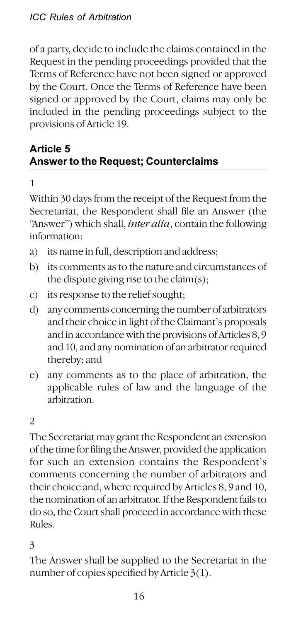### *ICC Rules of Arbitration*

of a party, decide to include the claims contained in the Request in the pending proceedings provided that the Terms of Reference have not been signed or approved by the Court. Once the Terms of Reference have been signed or approved by the Court, claims may only be included in the pending proceedings subject to the provisions of Article 19.

## **Article 5 Answer to the Request; Counterclaims**

1

Within 30 days from the receipt of the Request from the Secretariat, the Respondent shall file an Answer (the "Answer") which shall, *inter alia*, contain the following information:

- a) its name in full, description and address;
- b) its comments as to the nature and circumstances of the dispute giving rise to the claim(s);
- c) its response to the relief sought;
- d) any comments concerning the number of arbitrators and their choice in light of the Claimant's proposals and in accordance with the provisions of Articles 8, 9 and 10, and any nomination of an arbitrator required thereby; and
- e) any comments as to the place of arbitration, the applicable rules of law and the language of the arbitration.

#### 2

The Secretariat may grant the Respondent an extension of the time for filing the Answer, provided the application for such an extension contains the Respondent's comments concerning the number of arbitrators and their choice and, where required by Articles 8, 9 and 10, the nomination of an arbitrator. If the Respondent fails to do so, the Court shall proceed in accordance with these Rules.

3

The Answer shall be supplied to the Secretariat in the number of copies specified by Article 3(1).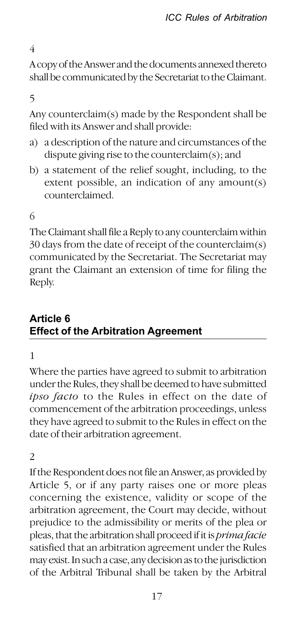A copy of the Answer and the documents annexed thereto shall be communicated by the Secretariat to the Claimant.

5

Any counterclaim(s) made by the Respondent shall be filed with its Answer and shall provide:

- a) a description of the nature and circumstances of the dispute giving rise to the counterclaim(s); and
- b) a statement of the relief sought, including, to the extent possible, an indication of any amount(s) counterclaimed.

6

The Claimant shall file a Reply to any counterclaim within 30 days from the date of receipt of the counterclaim(s) communicated by the Secretariat. The Secretariat may grant the Claimant an extension of time for filing the Reply.

# **Article 6 Effect of the Arbitration Agreement**

## 1

Where the parties have agreed to submit to arbitration under the Rules, they shall be deemed to have submitted *ipso facto* to the Rules in effect on the date of commencement of the arbitration proceedings, unless they have agreed to submit to the Rules in effect on the date of their arbitration agreement.

### $\overline{2}$

If the Respondent does not file an Answer, as provided by Article 5, or if any party raises one or more pleas concerning the existence, validity or scope of the arbitration agreement, the Court may decide, without prejudice to the admissibility or merits of the plea or pleas, that the arbitration shall proceed if it is *prima facie* satisfied that an arbitration agreement under the Rules may exist. In such a case, any decision as to the jurisdiction of the Arbitral Tribunal shall be taken by the Arbitral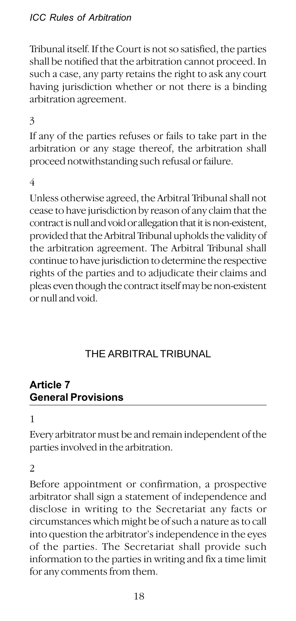Tribunal itself. If the Court is not so satisfied, the parties shall be notified that the arbitration cannot proceed. In such a case, any party retains the right to ask any court having jurisdiction whether or not there is a binding arbitration agreement.

3

If any of the parties refuses or fails to take part in the arbitration or any stage thereof, the arbitration shall proceed notwithstanding such refusal or failure.

4

Unless otherwise agreed, the Arbitral Tribunal shall not cease to have jurisdiction by reason of any claim that the contract is null and void or allegation that it is non-existent, provided that the Arbitral Tribunal upholds the validity of the arbitration agreement. The Arbitral Tribunal shall continue to have jurisdiction to determine the respective rights of the parties and to adjudicate their claims and pleas even though the contract itself may be non-existent or null and void.

# THE ARBITRAL TRIBUNAL

## **Article 7 General Provisions**

#### 1

Every arbitrator must be and remain independent of the parties involved in the arbitration.

 $\overline{\mathcal{L}}$ 

Before appointment or confirmation, a prospective arbitrator shall sign a statement of independence and disclose in writing to the Secretariat any facts or circumstances which might be of such a nature as to call into question the arbitrator's independence in the eyes of the parties. The Secretariat shall provide such information to the parties in writing and fix a time limit for any comments from them.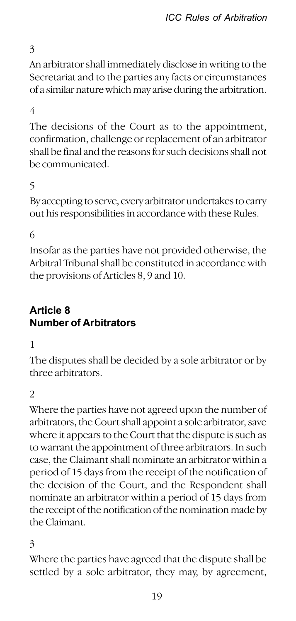An arbitrator shall immediately disclose in writing to the Secretariat and to the parties any facts or circumstances of a similar nature which may arise during the arbitration.

### 4

The decisions of the Court as to the appointment, confirmation, challenge or replacement of an arbitrator shall be final and the reasons for such decisions shall not be communicated.

## 5

By accepting to serve, every arbitrator undertakes to carry out his responsibilities in accordance with these Rules.

#### 6

Insofar as the parties have not provided otherwise, the Arbitral Tribunal shall be constituted in accordance with the provisions of Articles 8, 9 and 10.

## **Article 8 Number of Arbitrators**

### 1

The disputes shall be decided by a sole arbitrator or by three arbitrators.

### $\overline{\mathcal{L}}$

Where the parties have not agreed upon the number of arbitrators, the Court shall appoint a sole arbitrator, save where it appears to the Court that the dispute is such as to warrant the appointment of three arbitrators. In such case, the Claimant shall nominate an arbitrator within a period of 15 days from the receipt of the notification of the decision of the Court, and the Respondent shall nominate an arbitrator within a period of 15 days from the receipt of the notification of the nomination made by the Claimant.

#### 3

Where the parties have agreed that the dispute shall be settled by a sole arbitrator, they may, by agreement,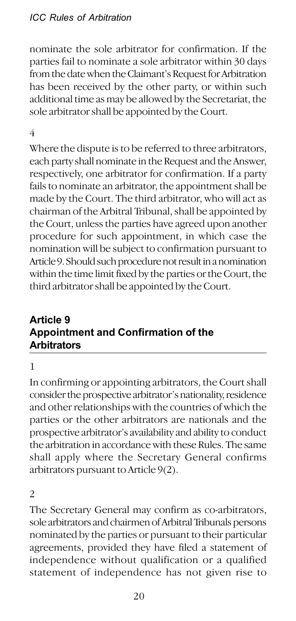nominate the sole arbitrator for confirmation. If the parties fail to nominate a sole arbitrator within 30 days from the date when the Claimant's Request for Arbitration has been received by the other party, or within such additional time as may be allowed by the Secretariat, the sole arbitrator shall be appointed by the Court.

#### 4

Where the dispute is to be referred to three arbitrators, each party shall nominate in the Request and the Answer, respectively, one arbitrator for confirmation. If a party fails to nominate an arbitrator, the appointment shall be made by the Court. The third arbitrator, who will act as chairman of the Arbitral Tribunal, shall be appointed by the Court, unless the parties have agreed upon another procedure for such appointment, in which case the nomination will be subject to confirmation pursuant to Article 9. Should such procedure not result in a nomination within the time limit fixed by the parties or the Court, the third arbitrator shall be appointed by the Court.

## **Article 9 Appointment and Confirmation of the Arbitrators**

#### 1

In confirming or appointing arbitrators, the Court shall consider the prospective arbitrator's nationality, residence and other relationships with the countries of which the parties or the other arbitrators are nationals and the prospective arbitrator's availability and ability to conduct the arbitration in accordance with these Rules. The same shall apply where the Secretary General confirms arbitrators pursuant to Article 9(2).

#### $\overline{2}$

The Secretary General may confirm as co-arbitrators, sole arbitrators and chairmen of Arbitral Tribunals persons nominated by the parties or pursuant to their particular agreements, provided they have filed a statement of independence without qualification or a qualified statement of independence has not given rise to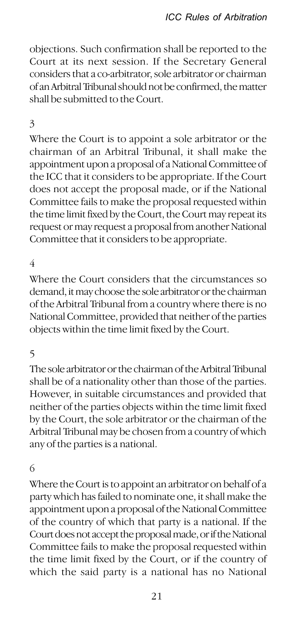objections. Such confirmation shall be reported to the Court at its next session. If the Secretary General considers that a co-arbitrator, sole arbitrator or chairman of an Arbitral Tribunal should not be confirmed, the matter shall be submitted to the Court.

#### 3

Where the Court is to appoint a sole arbitrator or the chairman of an Arbitral Tribunal, it shall make the appointment upon a proposal of a National Committee of the ICC that it considers to be appropriate. If the Court does not accept the proposal made, or if the National Committee fails to make the proposal requested within the time limit fixed by the Court, the Court may repeat its request or may request a proposal from another National Committee that it considers to be appropriate.

4

Where the Court considers that the circumstances so demand, it may choose the sole arbitrator or the chairman of the Arbitral Tribunal from a country where there is no National Committee, provided that neither of the parties objects within the time limit fixed by the Court.

### 5

The sole arbitrator or the chairman of the Arbitral Tribunal shall be of a nationality other than those of the parties. However, in suitable circumstances and provided that neither of the parties objects within the time limit fixed by the Court, the sole arbitrator or the chairman of the Arbitral Tribunal may be chosen from a country of which any of the parties is a national.

6

Where the Court is to appoint an arbitrator on behalf of a party which has failed to nominate one, it shall make the appointment upon a proposal of the National Committee of the country of which that party is a national. If the Court does not accept the proposal made, or if the National Committee fails to make the proposal requested within the time limit fixed by the Court, or if the country of which the said party is a national has no National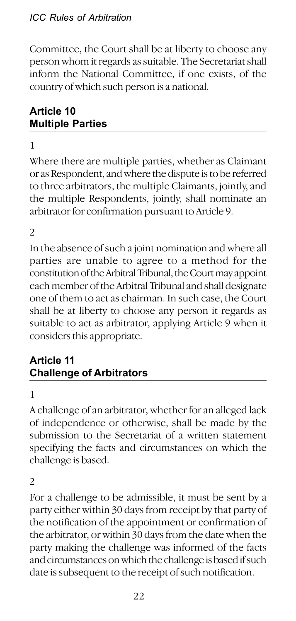Committee, the Court shall be at liberty to choose any person whom it regards as suitable. The Secretariat shall inform the National Committee, if one exists, of the country of which such person is a national.

### **Article 10 Multiple Parties**

#### 1

Where there are multiple parties, whether as Claimant or as Respondent, and where the dispute is to be referred to three arbitrators, the multiple Claimants, jointly, and the multiple Respondents, jointly, shall nominate an arbitrator for confirmation pursuant to Article 9.

#### 2

In the absence of such a joint nomination and where all parties are unable to agree to a method for the constitution of the Arbitral Tribunal, the Court may appoint each member of the Arbitral Tribunal and shall designate one of them to act as chairman. In such case, the Court shall be at liberty to choose any person it regards as suitable to act as arbitrator, applying Article 9 when it considers this appropriate.

## **Article 11 Challenge of Arbitrators**

#### 1

A challenge of an arbitrator, whether for an alleged lack of independence or otherwise, shall be made by the submission to the Secretariat of a written statement specifying the facts and circumstances on which the challenge is based.

#### $\overline{2}$

For a challenge to be admissible, it must be sent by a party either within 30 days from receipt by that party of the notification of the appointment or confirmation of the arbitrator, or within 30 days from the date when the party making the challenge was informed of the facts and circumstances on which the challenge is based if such date is subsequent to the receipt of such notification.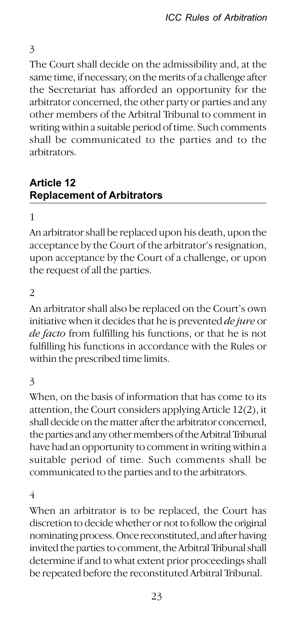The Court shall decide on the admissibility and, at the same time, if necessary, on the merits of a challenge after the Secretariat has afforded an opportunity for the arbitrator concerned, the other party or parties and any other members of the Arbitral Tribunal to comment in writing within a suitable period of time. Such comments shall be communicated to the parties and to the arbitrators.

## **Article 12 Replacement of Arbitrators**

#### 1

An arbitrator shall be replaced upon his death, upon the acceptance by the Court of the arbitrator's resignation, upon acceptance by the Court of a challenge, or upon the request of all the parties.

### 2

An arbitrator shall also be replaced on the Court's own initiative when it decides that he is prevented *de jure* or *de facto* from fulfilling his functions, or that he is not fulfilling his functions in accordance with the Rules or within the prescribed time limits.

### 3

When, on the basis of information that has come to its attention, the Court considers applying Article 12(2), it shall decide on the matter after the arbitrator concerned, the parties and any other members of the Arbitral Tribunal have had an opportunity to comment in writing within a suitable period of time. Such comments shall be communicated to the parties and to the arbitrators.

4

When an arbitrator is to be replaced, the Court has discretion to decide whether or not to follow the original nominating process. Once reconstituted, and after having invited the parties to comment, the Arbitral Tribunal shall determine if and to what extent prior proceedings shall be repeated before the reconstituted Arbitral Tribunal.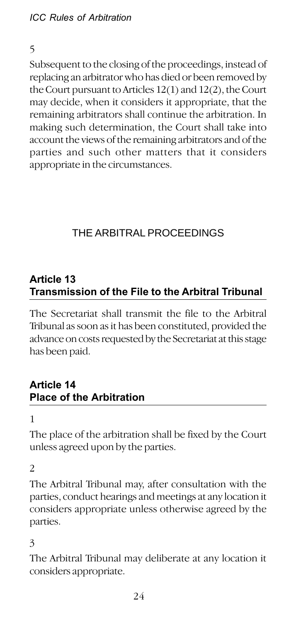Subsequent to the closing of the proceedings, instead of replacing an arbitrator who has died or been removed by the Court pursuant to Articles 12(1) and 12(2), the Court may decide, when it considers it appropriate, that the remaining arbitrators shall continue the arbitration. In making such determination, the Court shall take into account the views of the remaining arbitrators and of the parties and such other matters that it considers appropriate in the circumstances.

# THE ARBITRAL PROCEEDINGS

## **Article 13 Transmission of the File to the Arbitral Tribunal**

The Secretariat shall transmit the file to the Arbitral Tribunal as soon as it has been constituted, provided the advance on costs requested by the Secretariat at this stage has been paid.

## **Article 14 Place of the Arbitration**

1

The place of the arbitration shall be fixed by the Court unless agreed upon by the parties.

 $\overline{2}$ 

The Arbitral Tribunal may, after consultation with the parties, conduct hearings and meetings at any location it considers appropriate unless otherwise agreed by the parties.

3

The Arbitral Tribunal may deliberate at any location it considers appropriate.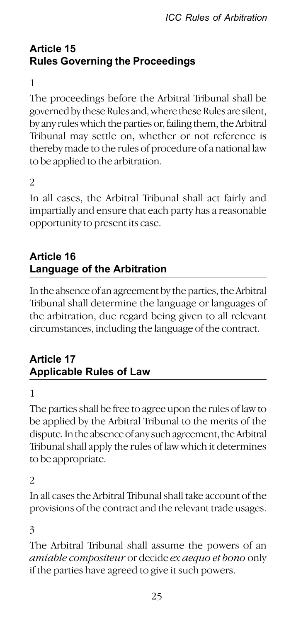# **Article 15 Rules Governing the Proceedings**

### 1

The proceedings before the Arbitral Tribunal shall be governed by these Rules and, where these Rules are silent, by any rules which the parties or, failing them, the Arbitral Tribunal may settle on, whether or not reference is thereby made to the rules of procedure of a national law to be applied to the arbitration.

2

In all cases, the Arbitral Tribunal shall act fairly and impartially and ensure that each party has a reasonable opportunity to present its case.

## **Article 16 Language of the Arbitration**

In the absence of an agreement by the parties, the Arbitral Tribunal shall determine the language or languages of the arbitration, due regard being given to all relevant circumstances, including the language of the contract.

# **Article 17 Applicable Rules of Law**

### 1

The parties shall be free to agree upon the rules of law to be applied by the Arbitral Tribunal to the merits of the dispute. In the absence of any such agreement, the Arbitral Tribunal shall apply the rules of law which it determines to be appropriate.

### $\overline{2}$

In all cases the Arbitral Tribunal shall take account of the provisions of the contract and the relevant trade usages.

3

The Arbitral Tribunal shall assume the powers of an *amiable compositeur* or decide *ex aequo et bono* only if the parties have agreed to give it such powers.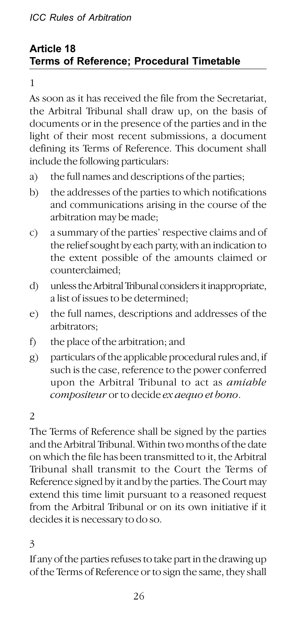# **Article 18 Terms of Reference; Procedural Timetable**

#### 1

As soon as it has received the file from the Secretariat, the Arbitral Tribunal shall draw up, on the basis of documents or in the presence of the parties and in the light of their most recent submissions, a document defining its Terms of Reference. This document shall include the following particulars:

- a) the full names and descriptions of the parties;
- b) the addresses of the parties to which notifications and communications arising in the course of the arbitration may be made;
- c) a summary of the parties' respective claims and of the relief sought by each party, with an indication to the extent possible of the amounts claimed or counterclaimed;
- d) unless the Arbitral Tribunal considers it inappropriate, a list of issues to be determined;
- e) the full names, descriptions and addresses of the arbitrators;
- f) the place of the arbitration; and
- g) particulars of the applicable procedural rules and, if such is the case, reference to the power conferred upon the Arbitral Tribunal to act as *amiable compositeur* or to decide *ex aequo et bono*.

## $\overline{2}$

The Terms of Reference shall be signed by the parties and the Arbitral Tribunal. Within two months of the date on which the file has been transmitted to it, the Arbitral Tribunal shall transmit to the Court the Terms of Reference signed by it and by the parties. The Court may extend this time limit pursuant to a reasoned request from the Arbitral Tribunal or on its own initiative if it decides it is necessary to do so.

### 3

If any of the parties refuses to take part in the drawing up of the Terms of Reference or to sign the same, they shall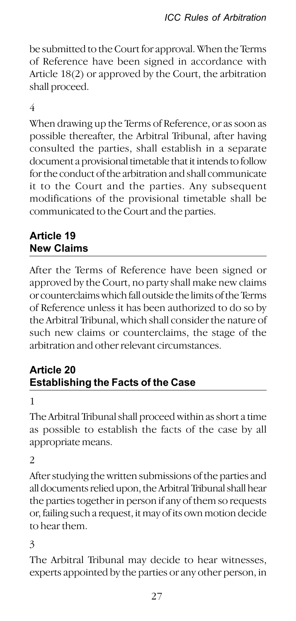be submitted to the Court for approval. When the Terms of Reference have been signed in accordance with Article 18(2) or approved by the Court, the arbitration shall proceed.

#### 4

When drawing up the Terms of Reference, or as soon as possible thereafter, the Arbitral Tribunal, after having consulted the parties, shall establish in a separate document a provisional timetable that it intends to follow for the conduct of the arbitration and shall communicate it to the Court and the parties. Any subsequent modifications of the provisional timetable shall be communicated to the Court and the parties.

#### **Article 19 New Claims**

After the Terms of Reference have been signed or approved by the Court, no party shall make new claims or counterclaims which fall outside the limits of the Terms of Reference unless it has been authorized to do so by the Arbitral Tribunal, which shall consider the nature of such new claims or counterclaims, the stage of the arbitration and other relevant circumstances.

## **Article 20 Establishing the Facts of the Case**

#### 1

The Arbitral Tribunal shall proceed within as short a time as possible to establish the facts of the case by all appropriate means.

### 2

After studying the written submissions of the parties and all documents relied upon, the Arbitral Tribunal shall hear the parties together in person if any of them so requests or, failing such a request, it may of its own motion decide to hear them.

3

The Arbitral Tribunal may decide to hear witnesses, experts appointed by the parties or any other person, in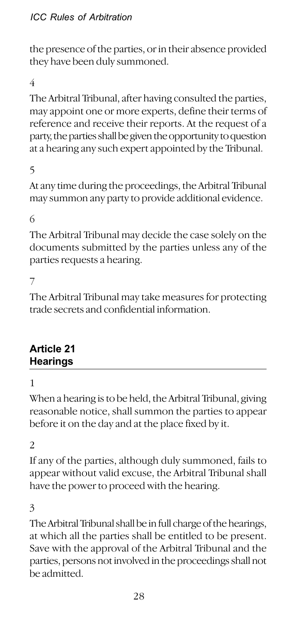### *ICC Rules of Arbitration*

the presence of the parties, or in their absence provided they have been duly summoned.

4

The Arbitral Tribunal, after having consulted the parties, may appoint one or more experts, define their terms of reference and receive their reports. At the request of a party, the parties shall be given the opportunity to question at a hearing any such expert appointed by the Tribunal.

## 5

At any time during the proceedings, the Arbitral Tribunal may summon any party to provide additional evidence.

6

The Arbitral Tribunal may decide the case solely on the documents submitted by the parties unless any of the parties requests a hearing.

7

The Arbitral Tribunal may take measures for protecting trade secrets and confidential information.

## **Article 21 Hearings**

## 1

When a hearing is to be held, the Arbitral Tribunal, giving reasonable notice, shall summon the parties to appear before it on the day and at the place fixed by it.

 $\overline{\mathcal{L}}$ 

If any of the parties, although duly summoned, fails to appear without valid excuse, the Arbitral Tribunal shall have the power to proceed with the hearing.

### 3

The Arbitral Tribunal shall be in full charge of the hearings, at which all the parties shall be entitled to be present. Save with the approval of the Arbitral Tribunal and the parties, persons not involved in the proceedings shall not be admitted.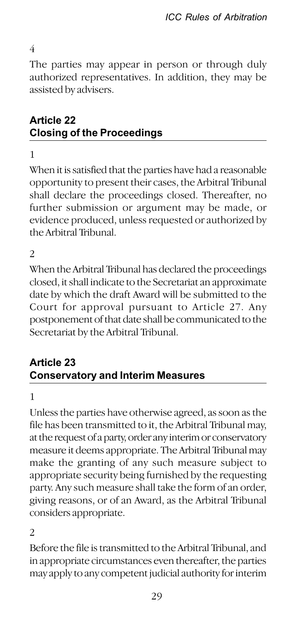The parties may appear in person or through duly authorized representatives. In addition, they may be assisted by advisers.

## **Article 22 Closing of the Proceedings**

#### 1

When it is satisfied that the parties have had a reasonable opportunity to present their cases, the Arbitral Tribunal shall declare the proceedings closed. Thereafter, no further submission or argument may be made, or evidence produced, unless requested or authorized by the Arbitral Tribunal.

 $\overline{2}$ 

When the Arbitral Tribunal has declared the proceedings closed, it shall indicate to the Secretariat an approximate date by which the draft Award will be submitted to the Court for approval pursuant to Article 27. Any postponement of that date shall be communicated to the Secretariat by the Arbitral Tribunal.

## **Article 23 Conservatory and Interim Measures**

1

Unless the parties have otherwise agreed, as soon as the file has been transmitted to it, the Arbitral Tribunal may, at the request of a party, order any interim or conservatory measure it deems appropriate. The Arbitral Tribunal may make the granting of any such measure subject to appropriate security being furnished by the requesting party. Any such measure shall take the form of an order, giving reasons, or of an Award, as the Arbitral Tribunal considers appropriate.

 $\overline{2}$ 

Before the file is transmitted to the Arbitral Tribunal, and in appropriate circumstances even thereafter, the parties may apply to any competent judicial authority for interim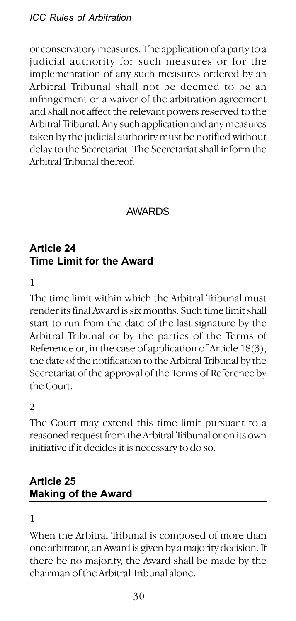#### *ICC Rules of Arbitration*

or conservatory measures. The application of a party to a judicial authority for such measures or for the implementation of any such measures ordered by an Arbitral Tribunal shall not be deemed to be an infringement or a waiver of the arbitration agreement and shall not affect the relevant powers reserved to the Arbitral Tribunal. Any such application and any measures taken by the judicial authority must be notified without delay to the Secretariat. The Secretariat shall inform the Arbitral Tribunal thereof.

#### AWARDS

### **Article 24 Time Limit for the Award**

1

The time limit within which the Arbitral Tribunal must render its final Award is six months. Such time limit shall start to run from the date of the last signature by the Arbitral Tribunal or by the parties of the Terms of Reference or, in the case of application of Article 18(3), the date of the notification to the Arbitral Tribunal by the Secretariat of the approval of the Terms of Reference by the Court.

2

The Court may extend this time limit pursuant to a reasoned request from the Arbitral Tribunal or on its own initiative if it decides it is necessary to do so.

## **Article 25 Making of the Award**

1

When the Arbitral Tribunal is composed of more than one arbitrator, an Award is given by a majority decision. If there be no majority, the Award shall be made by the chairman of the Arbitral Tribunal alone.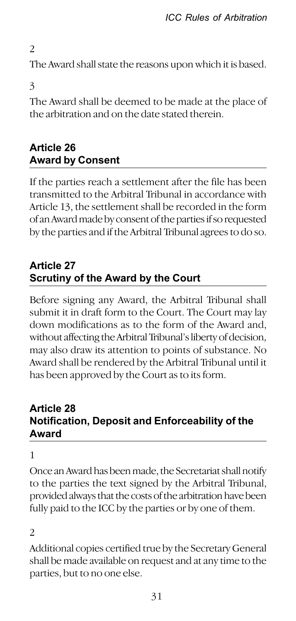$\overline{2}$ 

The Award shall state the reasons upon which it is based.

3

The Award shall be deemed to be made at the place of the arbitration and on the date stated therein.

# **Article 26 Award by Consent**

If the parties reach a settlement after the file has been transmitted to the Arbitral Tribunal in accordance with Article 13, the settlement shall be recorded in the form of an Award made by consent of the parties if so requested by the parties and if the Arbitral Tribunal agrees to do so.

# **Article 27 Scrutiny of the Award by the Court**

Before signing any Award, the Arbitral Tribunal shall submit it in draft form to the Court. The Court may lay down modifications as to the form of the Award and, without affecting the Arbitral Tribunal's liberty of decision, may also draw its attention to points of substance. No Award shall be rendered by the Arbitral Tribunal until it has been approved by the Court as to its form.

# **Article 28 Notification, Deposit and Enforceability of the Award**

## 1

Once an Award has been made, the Secretariat shall notify to the parties the text signed by the Arbitral Tribunal, provided always that the costs of the arbitration have been fully paid to the ICC by the parties or by one of them.

## $\overline{\mathcal{L}}$

Additional copies certified true by the Secretary General shall be made available on request and at any time to the parties, but to no one else.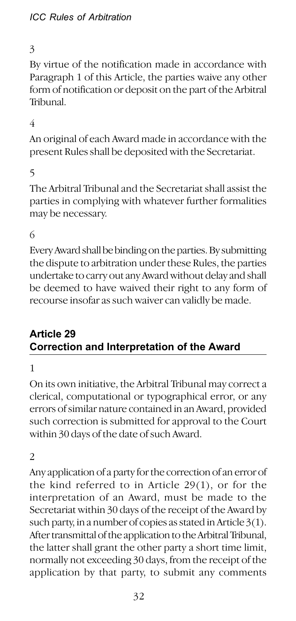#### *ICC Rules of Arbitration*

#### 3

By virtue of the notification made in accordance with Paragraph 1 of this Article, the parties waive any other form of notification or deposit on the part of the Arbitral Tribunal.

#### 4

An original of each Award made in accordance with the present Rules shall be deposited with the Secretariat.

#### 5

The Arbitral Tribunal and the Secretariat shall assist the parties in complying with whatever further formalities may be necessary.

#### 6

Every Award shall be binding on the parties. By submitting the dispute to arbitration under these Rules, the parties undertake to carry out any Award without delay and shall be deemed to have waived their right to any form of recourse insofar as such waiver can validly be made.

## **Article 29 Correction and Interpretation of the Award**

## 1

On its own initiative, the Arbitral Tribunal may correct a clerical, computational or typographical error, or any errors of similar nature contained in an Award, provided such correction is submitted for approval to the Court within 30 days of the date of such Award.

#### $\overline{2}$

Any application of a party for the correction of an error of the kind referred to in Article 29(1), or for the interpretation of an Award, must be made to the Secretariat within 30 days of the receipt of the Award by such party, in a number of copies as stated in Article 3(1). After transmittal of the application to the Arbitral Tribunal, the latter shall grant the other party a short time limit, normally not exceeding 30 days, from the receipt of the application by that party, to submit any comments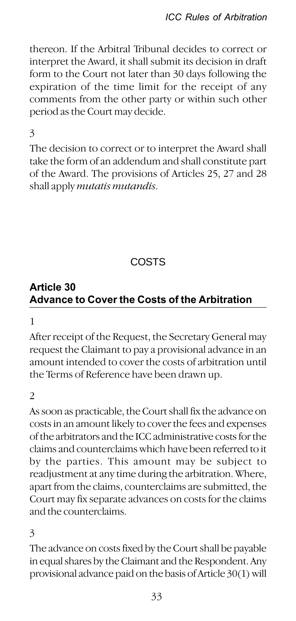thereon. If the Arbitral Tribunal decides to correct or interpret the Award, it shall submit its decision in draft form to the Court not later than 30 days following the expiration of the time limit for the receipt of any comments from the other party or within such other period as the Court may decide.

#### 3

The decision to correct or to interpret the Award shall take the form of an addendum and shall constitute part of the Award. The provisions of Articles 25, 27 and 28 shall apply *mutatis mutandis*.

# COSTS

## **Article 30 Advance to Cover the Costs of the Arbitration**

#### 1

After receipt of the Request, the Secretary General may request the Claimant to pay a provisional advance in an amount intended to cover the costs of arbitration until the Terms of Reference have been drawn up.

#### $\overline{\mathcal{L}}$

As soon as practicable, the Court shall fix the advance on costs in an amount likely to cover the fees and expenses of the arbitrators and the ICC administrative costs for the claims and counterclaims which have been referred to it by the parties. This amount may be subject to readjustment at any time during the arbitration. Where, apart from the claims, counterclaims are submitted, the Court may fix separate advances on costs for the claims and the counterclaims.

### 3

The advance on costs fixed by the Court shall be payable in equal shares by the Claimant and the Respondent. Any provisional advance paid on the basis of Article 30(1) will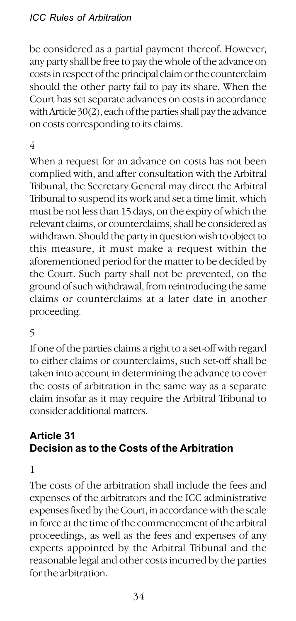#### *ICC Rules of Arbitration*

be considered as a partial payment thereof. However, any party shall be free to pay the whole of the advance on costs in respect of the principal claim or the counterclaim should the other party fail to pay its share. When the Court has set separate advances on costs in accordance with Article 30(2), each of the parties shall pay the advance on costs corresponding to its claims.

#### 4

When a request for an advance on costs has not been complied with, and after consultation with the Arbitral Tribunal, the Secretary General may direct the Arbitral Tribunal to suspend its work and set a time limit, which must be not less than 15 days, on the expiry of which the relevant claims, or counterclaims, shall be considered as withdrawn. Should the party in question wish to object to this measure, it must make a request within the aforementioned period for the matter to be decided by the Court. Such party shall not be prevented, on the ground of such withdrawal, from reintroducing the same claims or counterclaims at a later date in another proceeding.

#### 5

If one of the parties claims a right to a set-off with regard to either claims or counterclaims, such set-off shall be taken into account in determining the advance to cover the costs of arbitration in the same way as a separate claim insofar as it may require the Arbitral Tribunal to consider additional matters.

#### **Article 31 Decision as to the Costs of the Arbitration**

1

The costs of the arbitration shall include the fees and expenses of the arbitrators and the ICC administrative expenses fixed by the Court, in accordance with the scale in force at the time of the commencement of the arbitral proceedings, as well as the fees and expenses of any experts appointed by the Arbitral Tribunal and the reasonable legal and other costs incurred by the parties for the arbitration.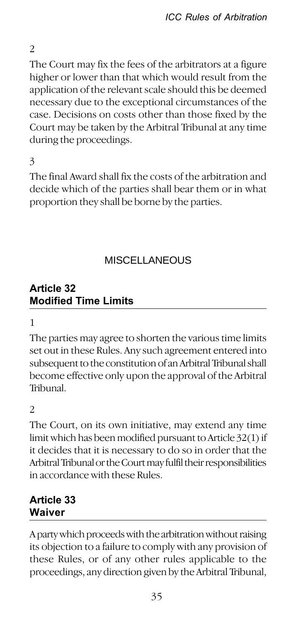#### $\overline{2}$

The Court may fix the fees of the arbitrators at a figure higher or lower than that which would result from the application of the relevant scale should this be deemed necessary due to the exceptional circumstances of the case. Decisions on costs other than those fixed by the Court may be taken by the Arbitral Tribunal at any time during the proceedings.

3

The final Award shall fix the costs of the arbitration and decide which of the parties shall bear them or in what proportion they shall be borne by the parties.

# **MISCELLANEOUS**

## **Article 32 Modified Time Limits**

### 1

The parties may agree to shorten the various time limits set out in these Rules. Any such agreement entered into subsequent to the constitution of an Arbitral Tribunal shall become effective only upon the approval of the Arbitral Tribunal.

### 2

The Court, on its own initiative, may extend any time limit which has been modified pursuant to Article 32(1) if it decides that it is necessary to do so in order that the Arbitral Tribunal or the Court may fulfil their responsibilities in accordance with these Rules.

#### **Article 33 Waiver**

A party which proceeds with the arbitration without raising its objection to a failure to comply with any provision of these Rules, or of any other rules applicable to the proceedings, any direction given by the Arbitral Tribunal,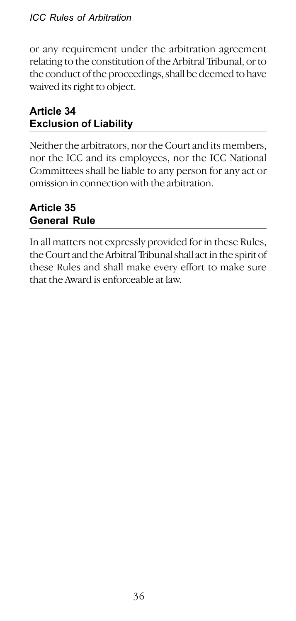#### *ICC Rules of Arbitration*

or any requirement under the arbitration agreement relating to the constitution of the Arbitral Tribunal, or to the conduct of the proceedings, shall be deemed to have waived its right to object.

## **Article 34 Exclusion of Liability**

Neither the arbitrators, nor the Court and its members, nor the ICC and its employees, nor the ICC National Committees shall be liable to any person for any act or omission in connection with the arbitration.

## **Article 35 General Rule**

In all matters not expressly provided for in these Rules, the Court and the Arbitral Tribunal shall act in the spirit of these Rules and shall make every effort to make sure that the Award is enforceable at law.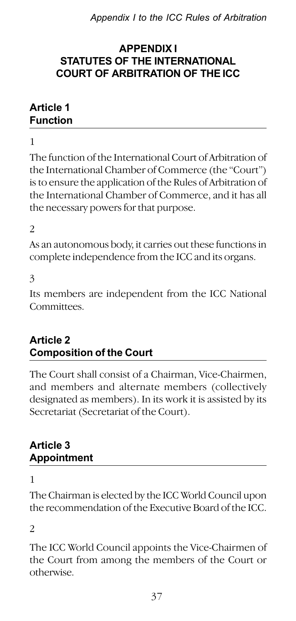*Appendix I to the ICC Rules of Arbitration*

## **APPENDIX I STATUTES OF THE INTERNATIONAL COURT OF ARBITRATION OF THE ICC**

### **Article 1 Function**

## 1

The function of the International Court of Arbitration of the International Chamber of Commerce (the "Court") is to ensure the application of the Rules of Arbitration of the International Chamber of Commerce, and it has all the necessary powers for that purpose.

 $\overline{2}$ 

As an autonomous body, it carries out these functions in complete independence from the ICC and its organs.

3

Its members are independent from the ICC National Committees.

## **Article 2 Composition of the Court**

The Court shall consist of a Chairman, Vice-Chairmen, and members and alternate members (collectively designated as members). In its work it is assisted by its Secretariat (Secretariat of the Court).

## **Article 3 Appointment**

1

The Chairman is elected by the ICC World Council upon the recommendation of the Executive Board of the ICC.

2

The ICC World Council appoints the Vice-Chairmen of the Court from among the members of the Court or otherwise.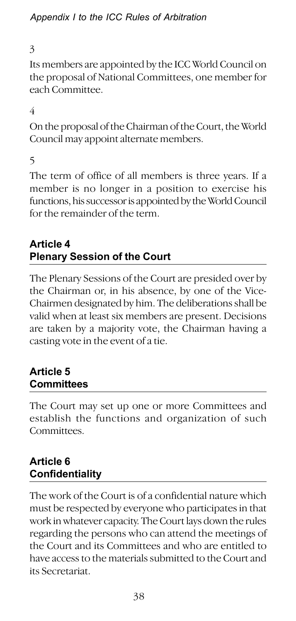### *Appendix I to the ICC Rules of Arbitration*

### 3

Its members are appointed by the ICC World Council on the proposal of National Committees, one member for each Committee.

#### 4

On the proposal of the Chairman of the Court, the World Council may appoint alternate members.

5

The term of office of all members is three years. If a member is no longer in a position to exercise his functions, his successor is appointed by the World Council for the remainder of the term.

## **Article 4 Plenary Session of the Court**

The Plenary Sessions of the Court are presided over by the Chairman or, in his absence, by one of the Vice-Chairmen designated by him. The deliberations shall be valid when at least six members are present. Decisions are taken by a majority vote, the Chairman having a casting vote in the event of a tie.

### **Article 5 Committees**

The Court may set up one or more Committees and establish the functions and organization of such **Committees** 

## **Article 6 Confidentiality**

The work of the Court is of a confidential nature which must be respected by everyone who participates in that work in whatever capacity. The Court lays down the rules regarding the persons who can attend the meetings of the Court and its Committees and who are entitled to have access to the materials submitted to the Court and its Secretariat.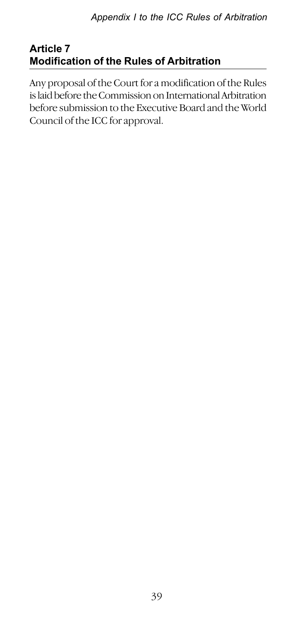# **Article 7 Modification of the Rules of Arbitration**

Any proposal of the Court for a modification of the Rules is laid before the Commission on International Arbitration before submission to the Executive Board and the World Council of the ICC for approval.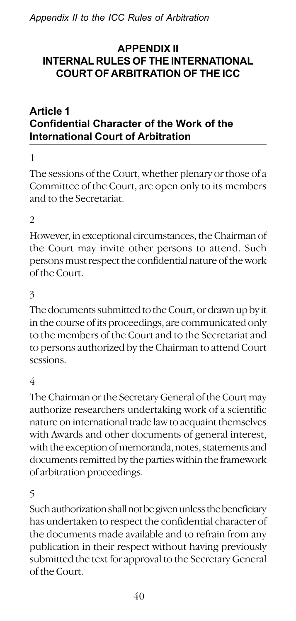*Appendix II to the ICC Rules of Arbitration*

## **APPENDIX II INTERNAL RULES OF THE INTERNATIONAL COURT OF ARBITRATION OF THE ICC**

## **Article 1 Confidential Character of the Work of the International Court of Arbitration**

1

The sessions of the Court, whether plenary or those of a Committee of the Court, are open only to its members and to the Secretariat.

2

However, in exceptional circumstances, the Chairman of the Court may invite other persons to attend. Such persons must respect the confidential nature of the work of the Court.

#### 3

The documents submitted to the Court, or drawn up by it in the course of its proceedings, are communicated only to the members of the Court and to the Secretariat and to persons authorized by the Chairman to attend Court sessions.

4

The Chairman or the Secretary General of the Court may authorize researchers undertaking work of a scientific nature on international trade law to acquaint themselves with Awards and other documents of general interest, with the exception of memoranda, notes, statements and documents remitted by the parties within the framework of arbitration proceedings.

5

Such authorization shall not be given unless the beneficiary has undertaken to respect the confidential character of the documents made available and to refrain from any publication in their respect without having previously submitted the text for approval to the Secretary General of the Court.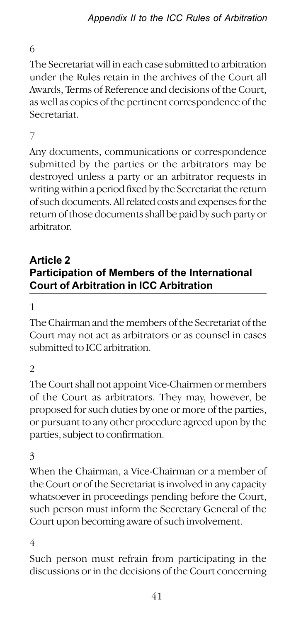The Secretariat will in each case submitted to arbitration under the Rules retain in the archives of the Court all Awards, Terms of Reference and decisions of the Court, as well as copies of the pertinent correspondence of the Secretariat.

#### 7

Any documents, communications or correspondence submitted by the parties or the arbitrators may be destroyed unless a party or an arbitrator requests in writing within a period fixed by the Secretariat the return of such documents. All related costs and expenses for the return of those documents shall be paid by such party or arbitrator.

## **Article 2 Participation of Members of the International Court of Arbitration in ICC Arbitration**

1

The Chairman and the members of the Secretariat of the Court may not act as arbitrators or as counsel in cases submitted to ICC arbitration.

 $\overline{2}$ 

The Court shall not appoint Vice-Chairmen or members of the Court as arbitrators. They may, however, be proposed for such duties by one or more of the parties, or pursuant to any other procedure agreed upon by the parties, subject to confirmation.

### 3

When the Chairman, a Vice-Chairman or a member of the Court or of the Secretariat is involved in any capacity whatsoever in proceedings pending before the Court, such person must inform the Secretary General of the Court upon becoming aware of such involvement.

#### 4

Such person must refrain from participating in the discussions or in the decisions of the Court concerning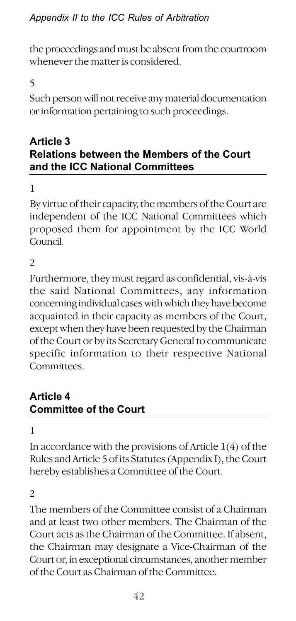the proceedings and must be absent from the courtroom whenever the matter is considered.

5

Such person will not receive any material documentation or information pertaining to such proceedings.

## **Article 3 Relations between the Members of the Court and the ICC National Committees**

1

By virtue of their capacity, the members of the Court are independent of the ICC National Committees which proposed them for appointment by the ICC World Council.

 $\overline{2}$ 

Furthermore, they must regard as confidential, vis-à-vis the said National Committees, any information concerning individual cases with which they have become acquainted in their capacity as members of the Court, except when they have been requested by the Chairman of the Court or by its Secretary General to communicate specific information to their respective National **Committees** 

## **Article 4 Committee of the Court**

1

In accordance with the provisions of Article 1(4) of the Rules and Article 5 of its Statutes (Appendix I), the Court hereby establishes a Committee of the Court.

#### 2

The members of the Committee consist of a Chairman and at least two other members. The Chairman of the Court acts as the Chairman of the Committee. If absent, the Chairman may designate a Vice-Chairman of the Court or, in exceptional circumstances, another member of the Court as Chairman of the Committee.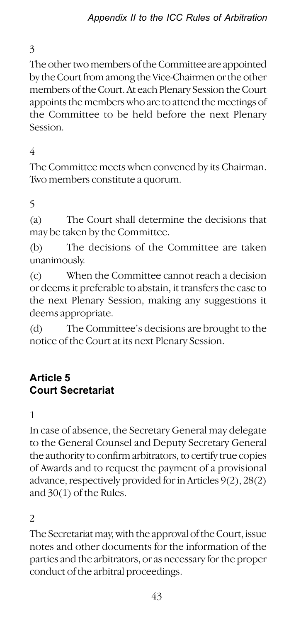The other two members of the Committee are appointed by the Court from among the Vice-Chairmen or the other members of the Court. At each Plenary Session the Court appoints the members who are to attend the meetings of the Committee to be held before the next Plenary Session.

### 4

The Committee meets when convened by its Chairman. Two members constitute a quorum.

#### 5

(a) The Court shall determine the decisions that may be taken by the Committee.

(b) The decisions of the Committee are taken unanimously.

(c) When the Committee cannot reach a decision or deems it preferable to abstain, it transfers the case to the next Plenary Session, making any suggestions it deems appropriate.

(d) The Committee's decisions are brought to the notice of the Court at its next Plenary Session.

## **Article 5 Court Secretariat**

#### 1

In case of absence, the Secretary General may delegate to the General Counsel and Deputy Secretary General the authority to confirm arbitrators, to certify true copies of Awards and to request the payment of a provisional advance, respectively provided for in Articles 9(2), 28(2) and 30(1) of the Rules.

### $\overline{2}$

The Secretariat may, with the approval of the Court, issue notes and other documents for the information of the parties and the arbitrators, or as necessary for the proper conduct of the arbitral proceedings.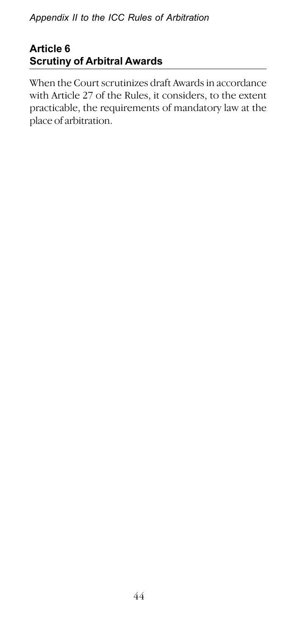# **Article 6 Scrutiny of Arbitral Awards**

When the Court scrutinizes draft Awards in accordance with Article 27 of the Rules, it considers, to the extent practicable, the requirements of mandatory law at the place of arbitration.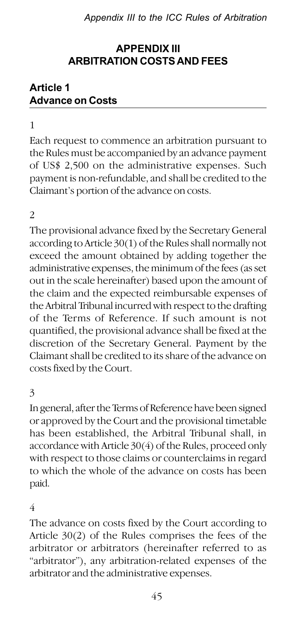*Appendix III to the ICC Rules of Arbitration*

# **APPENDIX III ARBITRATION COSTS AND FEES**

## **Article 1 Advance on Costs**

#### 1

Each request to commence an arbitration pursuant to the Rules must be accompanied by an advance payment of US\$ 2,500 on the administrative expenses. Such payment is non-refundable, and shall be credited to the Claimant's portion of the advance on costs.

### $\overline{2}$

The provisional advance fixed by the Secretary General according to Article 30(1) of the Rules shall normally not exceed the amount obtained by adding together the administrative expenses, the minimum of the fees (as set out in the scale hereinafter) based upon the amount of the claim and the expected reimbursable expenses of the Arbitral Tribunal incurred with respect to the drafting of the Terms of Reference. If such amount is not quantified, the provisional advance shall be fixed at the discretion of the Secretary General. Payment by the Claimant shall be credited to its share of the advance on costs fixed by the Court.

#### 3

In general, after the Terms of Reference have been signed or approved by the Court and the provisional timetable has been established, the Arbitral Tribunal shall, in accordance with Article 30(4) of the Rules, proceed only with respect to those claims or counterclaims in regard to which the whole of the advance on costs has been paid.

#### 4

The advance on costs fixed by the Court according to Article 30(2) of the Rules comprises the fees of the arbitrator or arbitrators (hereinafter referred to as "arbitrator"), any arbitration-related expenses of the arbitrator and the administrative expenses.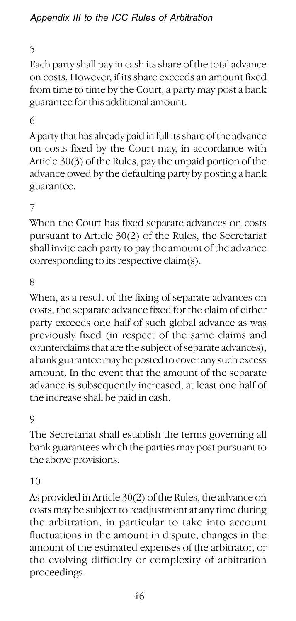### *Appendix III to the ICC Rules of Arbitration*

## 5

Each party shall pay in cash its share of the total advance on costs. However, if its share exceeds an amount fixed from time to time by the Court, a party may post a bank guarantee for this additional amount.

#### 6

A party that has already paid in full its share of the advance on costs fixed by the Court may, in accordance with Article 30(3) of the Rules, pay the unpaid portion of the advance owed by the defaulting party by posting a bank guarantee.

#### 7

When the Court has fixed separate advances on costs pursuant to Article 30(2) of the Rules, the Secretariat shall invite each party to pay the amount of the advance corresponding to its respective claim(s).

#### 8

When, as a result of the fixing of separate advances on costs, the separate advance fixed for the claim of either party exceeds one half of such global advance as was previously fixed (in respect of the same claims and counterclaims that are the subject of separate advances), a bank guarantee may be posted to cover any such excess amount. In the event that the amount of the separate advance is subsequently increased, at least one half of the increase shall be paid in cash.

#### $\overline{Q}$

The Secretariat shall establish the terms governing all bank guarantees which the parties may post pursuant to the above provisions.

#### 10

As provided in Article 30(2) of the Rules, the advance on costs may be subject to readjustment at any time during the arbitration, in particular to take into account fluctuations in the amount in dispute, changes in the amount of the estimated expenses of the arbitrator, or the evolving difficulty or complexity of arbitration proceedings.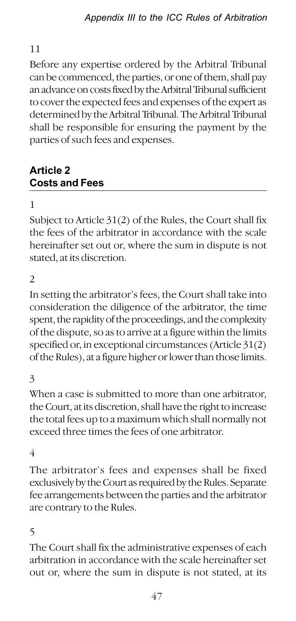Before any expertise ordered by the Arbitral Tribunal can be commenced, the parties, or one of them, shall pay an advance on costs fixed by the Arbitral Tribunal sufficient to cover the expected fees and expenses of the expert as determined by the Arbitral Tribunal. The Arbitral Tribunal shall be responsible for ensuring the payment by the parties of such fees and expenses.

## **Article 2 Costs and Fees**

#### 1

Subject to Article 31(2) of the Rules, the Court shall fix the fees of the arbitrator in accordance with the scale hereinafter set out or, where the sum in dispute is not stated, at its discretion.

#### $\overline{\mathcal{L}}$

In setting the arbitrator's fees, the Court shall take into consideration the diligence of the arbitrator, the time spent, the rapidity of the proceedings, and the complexity of the dispute, so as to arrive at a figure within the limits specified or, in exceptional circumstances (Article 31(2) of the Rules), at a figure higher or lower than those limits.

### 3

When a case is submitted to more than one arbitrator, the Court, at its discretion, shall have the right to increase the total fees up to a maximum which shall normally not exceed three times the fees of one arbitrator.

#### 4

The arbitrator's fees and expenses shall be fixed exclusively by the Court as required by the Rules. Separate fee arrangements between the parties and the arbitrator are contrary to the Rules.

### 5

The Court shall fix the administrative expenses of each arbitration in accordance with the scale hereinafter set out or, where the sum in dispute is not stated, at its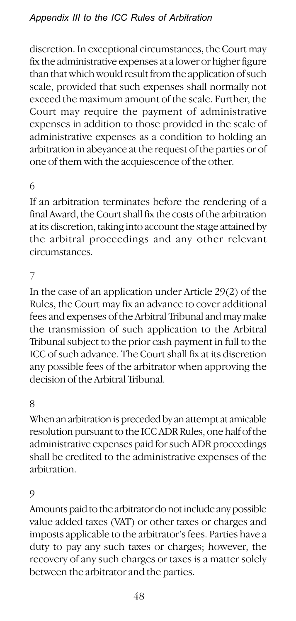#### *Appendix III to the ICC Rules of Arbitration*

discretion. In exceptional circumstances, the Court may fix the administrative expenses at a lower or higher figure than that which would result from the application of such scale, provided that such expenses shall normally not exceed the maximum amount of the scale. Further, the Court may require the payment of administrative expenses in addition to those provided in the scale of administrative expenses as a condition to holding an arbitration in abeyance at the request of the parties or of one of them with the acquiescence of the other.

#### 6

If an arbitration terminates before the rendering of a final Award, the Court shall fix the costs of the arbitration at its discretion, taking into account the stage attained by the arbitral proceedings and any other relevant circumstances.

#### 7

In the case of an application under Article 29(2) of the Rules, the Court may fix an advance to cover additional fees and expenses of the Arbitral Tribunal and may make the transmission of such application to the Arbitral Tribunal subject to the prior cash payment in full to the ICC of such advance. The Court shall fix at its discretion any possible fees of the arbitrator when approving the decision of the Arbitral Tribunal.

#### 8

When an arbitration is preceded by an attempt at amicable resolution pursuant to the ICC ADR Rules, one half of the administrative expenses paid for such ADR proceedings shall be credited to the administrative expenses of the arbitration.

#### $\overline{Q}$

Amounts paid to the arbitrator do not include any possible value added taxes (VAT) or other taxes or charges and imposts applicable to the arbitrator's fees. Parties have a duty to pay any such taxes or charges; however, the recovery of any such charges or taxes is a matter solely between the arbitrator and the parties.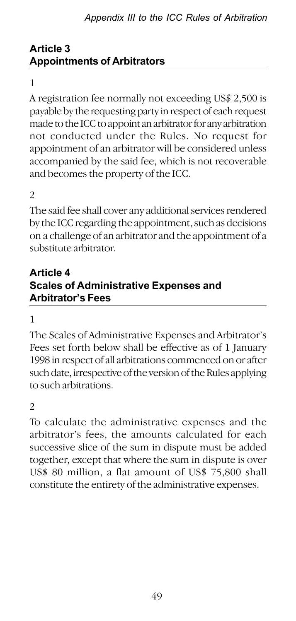# **Article 3 Appointments of Arbitrators**

### 1

A registration fee normally not exceeding US\$ 2,500 is payable by the requesting party in respect of each request made to the ICC to appoint an arbitrator for any arbitration not conducted under the Rules. No request for appointment of an arbitrator will be considered unless accompanied by the said fee, which is not recoverable and becomes the property of the ICC.

### 2

The said fee shall cover any additional services rendered by the ICC regarding the appointment, such as decisions on a challenge of an arbitrator and the appointment of a substitute arbitrator.

## **Article 4 Scales of Administrative Expenses and Arbitrator's Fees**

#### 1

The Scales of Administrative Expenses and Arbitrator's Fees set forth below shall be effective as of 1 January 1998 in respect of all arbitrations commenced on or after such date, irrespective of the version of the Rules applying to such arbitrations.

### $\overline{2}$

To calculate the administrative expenses and the arbitrator's fees, the amounts calculated for each successive slice of the sum in dispute must be added together, except that where the sum in dispute is over US\$ 80 million, a flat amount of US\$ 75,800 shall constitute the entirety of the administrative expenses.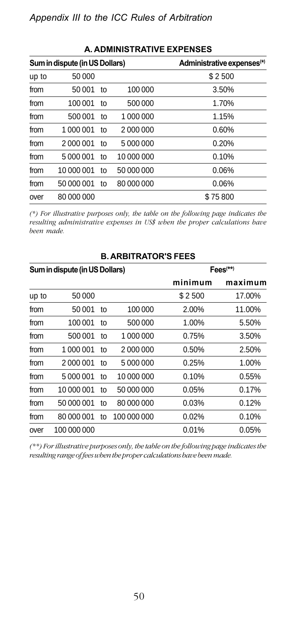#### *Appendix III to the ICC Rules of Arbitration*

| , ADIIIIIO IIVAIII E <i>L</i> AI EIIVEV |                                |    |            |                                        |  |
|-----------------------------------------|--------------------------------|----|------------|----------------------------------------|--|
|                                         | Sum in dispute (in US Dollars) |    |            | Administrative expenses <sup>(*)</sup> |  |
| up to                                   | 50 000                         |    |            | \$2500                                 |  |
| from                                    | 50 001                         | to | 100 000    | 3.50%                                  |  |
| from                                    | 100 001                        | to | 500 000    | 1.70%                                  |  |
| from                                    | 500 001                        | to | 1000000    | 1.15%                                  |  |
| from                                    | 1 000 001                      | to | 2 000 000  | 0.60%                                  |  |
| from                                    | 2 000 001                      | to | 5 000 000  | 0.20%                                  |  |
| from                                    | 5 000 001                      | to | 10 000 000 | 0.10%                                  |  |
| from                                    | 10 000 001                     | to | 50 000 000 | 0.06%                                  |  |
| from                                    | 50 000 001                     | to | 80 000 000 | 0.06%                                  |  |
| over                                    | 80 000 000                     |    |            | \$75800                                |  |

#### **A. ADMINISTRATIVE EXPENSES**

*(\*) For illustrative purposes only, the table on the following page indicates the resulting administrative expenses in US\$ when the proper calculations have been made.*

|       | <b>B. ARBITRATOR'S FEES</b>                   |    |             |         |         |  |
|-------|-----------------------------------------------|----|-------------|---------|---------|--|
|       | $Fees$ (**)<br>Sum in dispute (in US Dollars) |    |             |         |         |  |
|       |                                               |    |             | minimum | maximum |  |
| up to | 50 000                                        |    |             | \$2500  | 17.00%  |  |
| from  | 50 001                                        | to | 100 000     | 2.00%   | 11.00%  |  |
| from  | 100001                                        | to | 500 000     | 1.00%   | 5.50%   |  |
| from  | 500001                                        | to | 1000000     | 0.75%   | 3.50%   |  |
| from  | 1 000 001                                     | to | 2 000 000   | 0.50%   | 2.50%   |  |
| from  | 2 000 001                                     | to | 5 000 000   | 0.25%   | 1.00%   |  |
| from  | 5 000 001                                     | to | 10 000 000  | 0.10%   | 0.55%   |  |
| from  | 10 000 001                                    | to | 50 000 000  | 0.05%   | 0.17%   |  |
| from  | 50 000 001                                    | to | 80 000 000  | 0.03%   | 0.12%   |  |
| from  | 80 000 001                                    | to | 100 000 000 | 0.02%   | 0.10%   |  |
| over  | 100 000 000                                   |    |             | 0.01%   | 0.05%   |  |

#### **B. ARBITRATOR'S FEES**

*(\*\*) For illustrative purposes only, the table on the following page indicates the resulting range of fees when the proper calculations have been made.*